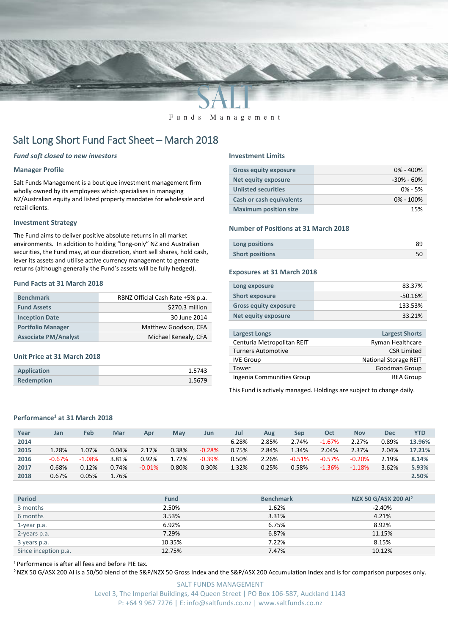

Funds Management

# Salt Long Short Fund Fact Sheet – March 2018

# *Fund soft closed to new investors*

# **Manager Profile**

Salt Funds Management is a boutique investment management firm wholly owned by its employees which specialises in managing NZ/Australian equity and listed property mandates for wholesale and retail clients.

### **Investment Strategy**

The Fund aims to deliver positive absolute returns in all market environments. In addition to holding "long-only" NZ and Australian securities, the Fund may, at our discretion, short sell shares, hold cash, lever its assets and utilise active currency management to generate returns (although generally the Fund's assets will be fully hedged).

# **Fund Facts at 31 March 2018**

| <b>Benchmark</b>            | RBNZ Official Cash Rate +5% p.a. |
|-----------------------------|----------------------------------|
| <b>Fund Assets</b>          | \$270.3 million                  |
| <b>Inception Date</b>       | 30 June 2014                     |
| <b>Portfolio Manager</b>    | Matthew Goodson, CFA             |
| <b>Associate PM/Analyst</b> | Michael Kenealy, CFA             |

#### **Unit Price at 31 March 2018**

| Application       | 1.5743 |
|-------------------|--------|
| <b>Redemption</b> | 1.5679 |

#### **Investment Limits**

| <b>Gross equity exposure</b>    | $0\% - 400\%$  |
|---------------------------------|----------------|
| Net equity exposure             | $-30\% - 60\%$ |
| <b>Unlisted securities</b>      | $0\% - 5\%$    |
| <b>Cash or cash equivalents</b> | $0\% - 100\%$  |
| <b>Maximum position size</b>    | 15%            |

### **Number of Positions at 31 March 2018**

| Long positions         | 89 |
|------------------------|----|
| <b>Short positions</b> |    |

#### **Exposures at 31 March 2018**

| Long exposure                | 83.37%    |
|------------------------------|-----------|
| <b>Short exposure</b>        | $-50.16%$ |
| <b>Gross equity exposure</b> | 133.53%   |
| <b>Net equity exposure</b>   | 33.21%    |
|                              |           |

| <b>Largest Longs</b>       | <b>Largest Shorts</b>        |
|----------------------------|------------------------------|
| Centuria Metropolitan REIT | Ryman Healthcare             |
| <b>Turners Automotive</b>  | <b>CSR Limited</b>           |
| <b>IVE Group</b>           | <b>National Storage REIT</b> |
| Tower                      | Goodman Group                |
| Ingenia Communities Group  | <b>REA Group</b>             |
|                            |                              |

This Fund is actively managed. Holdings are subject to change daily.

# **Performance<sup>1</sup> at 31 March 2018**

| Year | Jan      | Feb      | Mar   | Apr      | May   | Jun      | Jul   | Aug   | Sep      | Oct      | <b>Nov</b> | Dec   | <b>YTD</b> |
|------|----------|----------|-------|----------|-------|----------|-------|-------|----------|----------|------------|-------|------------|
| 2014 |          |          |       |          |       |          | 6.28% | 2.85% | 2.74%    | $-1.67%$ | 2.27%      | 0.89% | 13.96%     |
| 2015 | 1.28%    | 1.07%    | 0.04% | 2.17%    | 0.38% | $-0.28%$ | 0.75% | 2.84% | 1.34%    | 2.04%    | 2.37%      | 2.04% | 17.21%     |
| 2016 | $-0.67%$ | $-1.08%$ | 3.81% | 0.92%    | 1.72% | $-0.39%$ | 0.50% | 2.26% | $-0.51%$ | $-0.57%$ | $-0.20%$   | 2.19% | 8.14%      |
| 2017 | 0.68%    | 0.12%    | 0.74% | $-0.01%$ | 0.80% | 0.30%    | 1.32% | 0.25% | 0.58%    | $-1.36%$ | $-1.18%$   | 3.62% | 5.93%      |
| 2018 | 0.67%    | 0.05%    | 1.76% |          |       |          |       |       |          |          |            |       | 2.50%      |

| <b>Period</b>        | <b>Fund</b> | <b>Benchmark</b> | NZX 50 G/ASX 200 AI <sup>2</sup> |
|----------------------|-------------|------------------|----------------------------------|
| 3 months             | 2.50%       | 1.62%            | $-2.40%$                         |
| 6 months             | 3.53%       | 3.31%            | 4.21%                            |
| 1-year p.a.          | 6.92%       | 6.75%            | 8.92%                            |
| 2-years p.a.         | 7.29%       | 6.87%            | 11.15%                           |
| 3 years p.a.         | 10.35%      | 7.22%            | 8.15%                            |
| Since inception p.a. | 12.75%      | 7.47%            | 10.12%                           |

<sup>1</sup> Performance is after all fees and before PIE tax.

<sup>2</sup> NZX 50 G/ASX 200 AI is a 50/50 blend of the S&P/NZX 50 Gross Index and the S&P/ASX 200 Accumulation Index and is for comparison purposes only.

SALT FUNDS MANAGEMENT Level 3, The Imperial Buildings, 44 Queen Street | PO Box 106-587, Auckland 1143 P: +64 9 967 7276 | E: info@saltfunds.co.nz | www.saltfunds.co.nz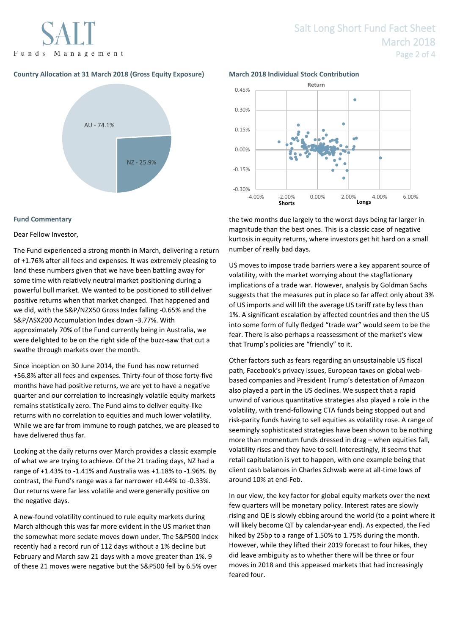Funds Management

# **Country Allocation at 31 March 2018 (Gross Equity Exposure) March 2018 Individual Stock Contribution**



# **Fund Commentary**

# Dear Fellow Investor,

The Fund experienced a strong month in March, delivering a return of +1.76% after all fees and expenses. It was extremely pleasing to land these numbers given that we have been battling away for some time with relatively neutral market positioning during a powerful bull market. We wanted to be positioned to still deliver positive returns when that market changed. That happened and we did, with the S&P/NZX50 Gross Index falling -0.65% and the S&P/ASX200 Accumulation Index down -3.77%. With approximately 70% of the Fund currently being in Australia, we were delighted to be on the right side of the buzz-saw that cut a swathe through markets over the month.

Since inception on 30 June 2014, the Fund has now returned +56.8% after all fees and expenses. Thirty-four of those forty-five months have had positive returns, we are yet to have a negative quarter and our correlation to increasingly volatile equity markets remains statistically zero. The Fund aims to deliver equity-like returns with no correlation to equities and much lower volatility. While we are far from immune to rough patches, we are pleased to have delivered thus far.

Looking at the daily returns over March provides a classic example of what we are trying to achieve. Of the 21 trading days, NZ had a range of +1.43% to -1.41% and Australia was +1.18% to -1.96%. By contrast, the Fund's range was a far narrower +0.44% to -0.33%. Our returns were far less volatile and were generally positive on the negative days.

A new-found volatility continued to rule equity markets during March although this was far more evident in the US market than the somewhat more sedate moves down under. The S&P500 Index recently had a record run of 112 days without a 1% decline but February and March saw 21 days with a move greater than 1%. 9 of these 21 moves were negative but the S&P500 fell by 6.5% over



the two months due largely to the worst days being far larger in magnitude than the best ones. This is a classic case of negative kurtosis in equity returns, where investors get hit hard on a small number of really bad days.

US moves to impose trade barriers were a key apparent source of volatility, with the market worrying about the stagflationary implications of a trade war. However, analysis by Goldman Sachs suggests that the measures put in place so far affect only about 3% of US imports and will lift the average US tariff rate by less than 1%. A significant escalation by affected countries and then the US into some form of fully fledged "trade war" would seem to be the fear. There is also perhaps a reassessment of the market's view that Trump's policies are "friendly" to it.

Other factors such as fears regarding an unsustainable US fiscal path, Facebook's privacy issues, European taxes on global webbased companies and President Trump's detestation of Amazon also played a part in the US declines. We suspect that a rapid unwind of various quantitative strategies also played a role in the volatility, with trend-following CTA funds being stopped out and risk-parity funds having to sell equities as volatility rose. A range of seemingly sophisticated strategies have been shown to be nothing more than momentum funds dressed in drag – when equities fall, volatility rises and they have to sell. Interestingly, it seems that retail capitulation is yet to happen, with one example being that client cash balances in Charles Schwab were at all-time lows of around 10% at end-Feb.

In our view, the key factor for global equity markets over the next few quarters will be monetary policy. Interest rates are slowly rising and QE is slowly ebbing around the world (to a point where it will likely become QT by calendar-year end). As expected, the Fed hiked by 25bp to a range of 1.50% to 1.75% during the month. However, while they lifted their 2019 forecast to four hikes, they did leave ambiguity as to whether there will be three or four moves in 2018 and this appeased markets that had increasingly feared four.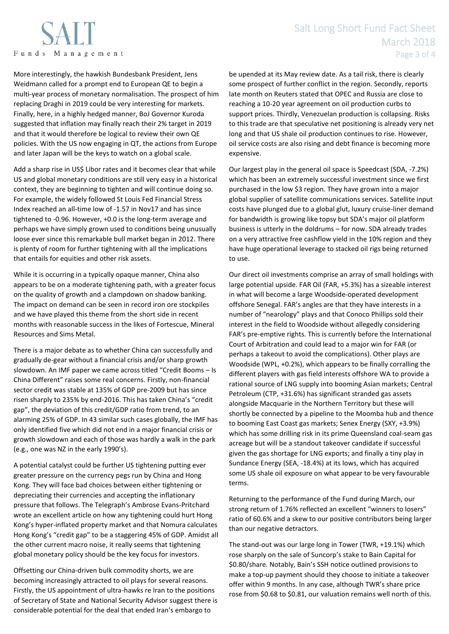More interestingly, the hawkish Bundesbank President, Jens Weidmann called for a prompt end to European QE to begin a multi-year process of monetary normalisation. The prospect of him replacing Draghi in 2019 could be very interesting for markets. Finally, here, in a highly hedged manner, BoJ Governor Kuroda suggested that inflation may finally reach their 2% target in 2019 and that it would therefore be logical to review their own QE policies. With the US now engaging in QT, the actions from Europe and later Japan will be the keys to watch on a global scale.

Add a sharp rise in US\$ Libor rates and it becomes clear that while US and global monetary conditions are still very easy in a historical context, they are beginning to tighten and will continue doing so. For example, the widely followed St Louis Fed Financial Stress Index reached an all-time low of -1.57 in Nov17 and has since tightened to -0.96. However, +0.0 is the long-term average and perhaps we have simply grown used to conditions being unusually loose ever since this remarkable bull market began in 2012. There is plenty of room for further tightening with all the implications that entails for equities and other risk assets.

While it is occurring in a typically opaque manner, China also appears to be on a moderate tightening path, with a greater focus on the quality of growth and a clampdown on shadow banking. The impact on demand can be seen in record iron ore stockpiles and we have played this theme from the short side in recent months with reasonable success in the likes of Fortescue, Mineral Resources and Sims Metal.

There is a major debate as to whether China can successfully and gradually de-gear without a financial crisis and/or sharp growth slowdown. An IMF paper we came across titled "Credit Booms – Is China Different" raises some real concerns. Firstly, non-financial sector credit was stable at 135% of GDP pre-2009 but has since risen sharply to 235% by end-2016. This has taken China's "credit gap", the deviation of this credit/GDP ratio from trend, to an alarming 25% of GDP. In 43 similar such cases globally, the IMF has only identified five which did not end in a major financial crisis or growth slowdown and each of those was hardly a walk in the park (e.g., one was NZ in the early 1990's).

A potential catalyst could be further US tightening putting ever greater pressure on the currency pegs run by China and Hong Kong. They will face bad choices between either tightening or depreciating their currencies and accepting the inflationary pressure that follows. The Telegraph's Ambrose Evans-Pritchard wrote an excellent article on how any tightening could hurt Hong Kong's hyper-inflated property market and that Nomura calculates Hong Kong's "credit gap" to be a staggering 45% of GDP. Amidst all the other current macro noise, it really seems that tightening global monetary policy should be the key focus for investors.

Offsetting our China-driven bulk commodity shorts, we are becoming increasingly attracted to oil plays for several reasons. Firstly, the US appointment of ultra-hawks re Iran to the positions of Secretary of State and National Security Advisor suggest there is considerable potential for the deal that ended Iran's embargo to

be upended at its May review date. As a tail risk, there is clearly some prospect of further conflict in the region. Secondly, reports late month on Reuters stated that OPEC and Russia are close to reaching a 10-20 year agreement on oil production curbs to support prices. Thirdly, Venezuelan production is collapsing. Risks to this trade are that speculative net positioning is already very net long and that US shale oil production continues to rise. However, oil service costs are also rising and debt finance is becoming more expensive.

Our largest play in the general oil space is Speedcast (SDA, -7.2%) which has been an extremely successful investment since we first purchased in the low \$3 region. They have grown into a major global supplier of satellite communications services. Satellite input costs have plunged due to a global glut, luxury cruise-liner demand for bandwidth is growing like topsy but SDA's major oil platform business is utterly in the doldrums – for now. SDA already trades on a very attractive free cashflow yield in the 10% region and they have huge operational leverage to stacked oil rigs being returned to use.

Our direct oil investments comprise an array of small holdings with large potential upside. FAR Oil (FAR, +5.3%) has a sizeable interest in what will become a large Woodside-operated development offshore Senegal. FAR's angles are that they have interests in a number of "nearology" plays and that Conoco Phillips sold their interest in the field to Woodside without allegedly considering FAR's pre-emptive rights. This is currently before the International Court of Arbitration and could lead to a major win for FAR (or perhaps a takeout to avoid the complications). Other plays are Woodside (WPL, +0.2%), which appears to be finally corralling the different players with gas field interests offshore WA to provide a rational source of LNG supply into booming Asian markets; Central Petroleum (CTP, +31.6%) has significant stranded gas assets alongside Macquarie in the Northern Territory but these will shortly be connected by a pipeline to the Moomba hub and thence to booming East Coast gas markets; Senex Energy (SXY, +3.9%) which has some drilling risk in its prime Queensland coal-seam gas acreage but will be a standout takeover candidate if successful given the gas shortage for LNG exports; and finally a tiny play in Sundance Energy (SEA, -18.4%) at its lows, which has acquired some US shale oil exposure on what appear to be very favourable terms.

Returning to the performance of the Fund during March, our strong return of 1.76% reflected an excellent "winners to losers" ratio of 60.6% and a skew to our positive contributors being larger than our negative detractors.

The stand-out was our large long in Tower (TWR, +19.1%) which rose sharply on the sale of Suncorp's stake to Bain Capital for \$0.80/share. Notably, Bain's SSH notice outlined provisions to make a top-up payment should they choose to initiate a takeover offer within 9 months. In any case, although TWR's share price rose from \$0.68 to \$0.81, our valuation remains well north of this.